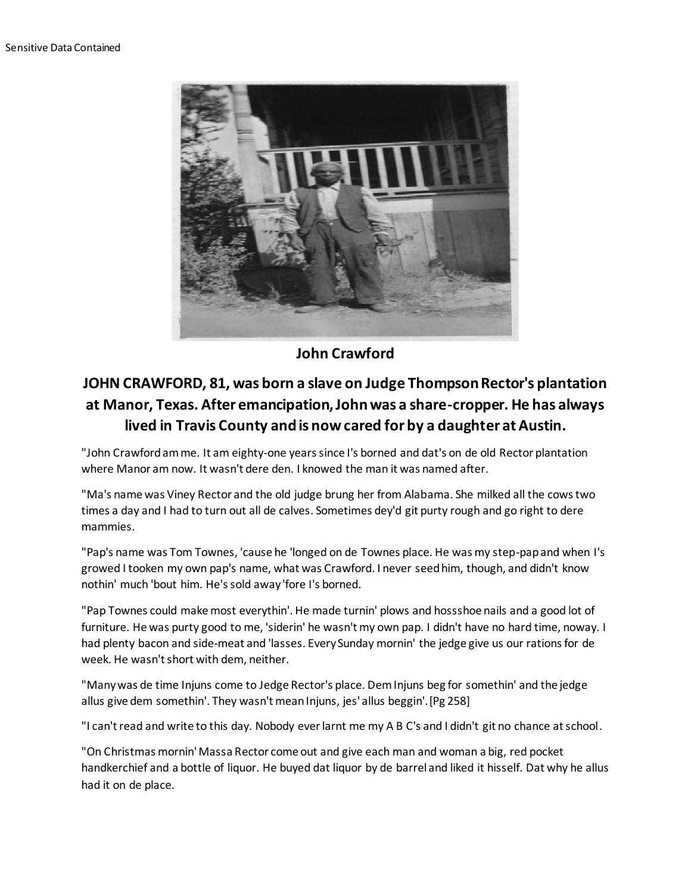

**John Crawford**

## **JOHN CRAWFORD, 81, was born a slave on Judge Thompson Rector's plantation at Manor, Texas. After emancipation, John was a share-cropper. He has always lived in Travis County and is now cared for by a daughter at Austin.**

"John Crawford am me. It am eighty-one years since I's borned and dat's on de old Rector plantation where Manor am now. It wasn't dere den. I knowed the man it was named after.

"Ma's name was Viney Rector and the old judge brung her from Alabama. She milked all the cows two times a day and I had to turn out all de calves. Sometimes dey'd git purty rough and go right to dere mammies.

"Pap's name was Tom Townes, 'cause he 'longed on de Townes place. He was my step-pap and when I's growed I tooken my own pap's name, what was Crawford. I never seed him, though, and didn't know nothin' much 'bout him. He's sold away 'fore I's borned.

"Pap Townes could make most everythin'. He made turnin' plows and hossshoe nails and a good lot of furniture. He was purty good to me, 'siderin' he wasn't my own pap. I didn't have no hard time, noway. I had plenty bacon and side-meat and 'lasses. Every Sunday mornin' the jedge give us our rations for de week. He wasn't short with dem, neither.

"Many was de time Injuns come to Jedge Rector's place. Dem Injuns beg for somethin' and the jedge allus give dem somethin'. They wasn't mean Injuns, jes' allus beggin'.[Pg 258]

"I can't read and write to this day. Nobody ever larnt me my A B C's and I didn't git no chance at school.

"On Christmas mornin' Massa Rector come out and give each man and woman a big, red pocket handkerchief and a bottle of liquor. He buyed dat liquor by de barrel and liked it hisself. Dat why he allus had it on de place.